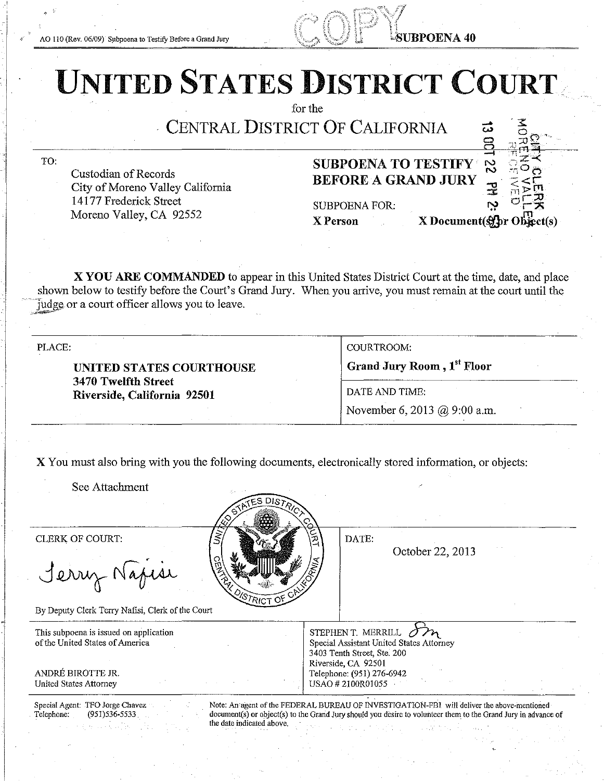AO 110 (Rev. 06/09) Subpoena to Testify Before a Grand Jury

 $\mathcal{L}^{\infty}$  if  $\mathcal{L}^{\infty}$ C·' LUBPOENA 40

# UNITED STATES DISTRICT COURT

for the

CENTRAL DISTRICT OF CALIFORNIA

TO:

Custodian of Records City of Moreno Valley California 14177 Frederick Street Moreno Valley, CA 92552

### SUBPOENA TO TESTIFY BEFORE A GRAND JURY

SUBPOENA FOR:

 $\frac{a}{2}$   $\frac{a}{2}$   $\frac{c}{2}$   $\frac{c}{2}$  $\frac{1}{2}$   $\frac{1}{2}$   $\frac{1}{2}$   $\frac{1}{2}$   $\frac{1}{2}$  $X$  Person  $X$  Document( $\mathcal{L}$ for Object(s)

 $\rightleftharpoons$ N N

دّة

":≩"≺

X YOU ARE COMMANDED to appear in this United States District Court at the time, date, and place shown below to testify before the Court's Grand Jury. When you arrive, you must remain at the court until the iudge or a court officer allows you to leave.

PLACE:

UNITED STATES COURTHOUSE 3470 Twelfth Street Riverside, California 92501

COURTROOM: Grand Jury Room, 1st Floor DATE AND TIME: November 6, 2013 @ 9:00 a.m.

X You must also bring with you the following documents, electronically stored information, or objects:

See Attachment

Jerry Napise

By Deputy Clerk Terry Nafisi, Clerk of the Court

This subpoena is issued on application of the United States of America

ANDRE BIROTTE JR. United States Attorney

CLERK OF COURT:  $\left|\frac{1}{2}\right|$   $\left|\frac{1}{2}\right|$   $\left|\frac{1}{2}\right|$   $\left|\frac{1}{2}\right|$   $\left|\frac{1}{2}\right|$   $\left|\frac{1}{2}\right|$ 

October 22, 2013

STEPHEN T. MERRILL  $\bigcirc$ Special Assistant United States Attorney 3403 Tenth Street, Ste. 200 Riverside, CA 92501 Telephone: (951) 276-6942 USAO # 2IOOR01055

Special Agent: TFO Jorge Chavez Telephone: (951)536-5533

Note: An·agent of the FEDERAL BUREAU OF INVESTIGATION-FBI will deliver the above-mentioned document(s) or object(s) to the Grarid Jury should you desire to volunteer them to the Grand Jury in advance of the date indicated above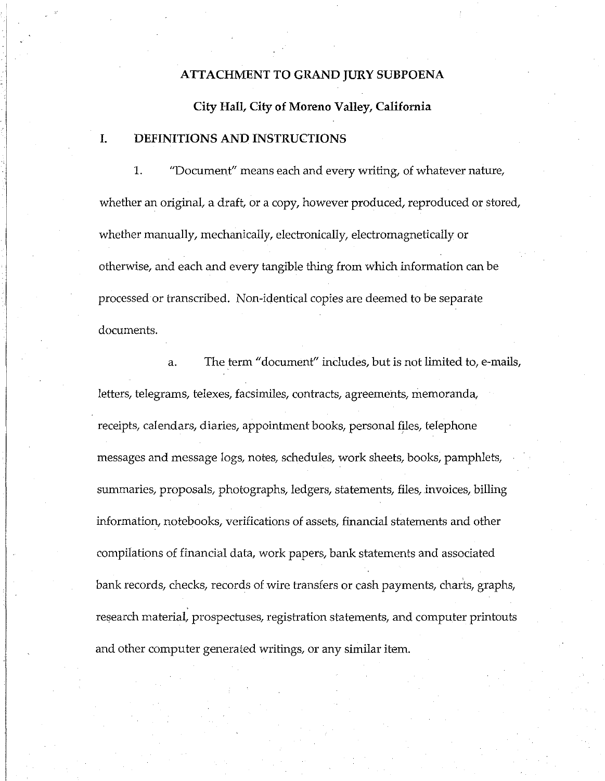#### I **ATTACHMENT TO GRAND JURY SUBPOENA**

**City Hall, City of Moreno Valley, California** 

#### **I. DEFINITIONS AND INSTRUCTIONS**

 $\mathbb{L}$  $\mathbb{I}$ 

> 1. "Document" means each and every writing, of whatever nature, whether an original, a draft, or a copy, however produced, reproduced or stored, whether manually, mechanically, electronically, electromagnetically or otherwise, and each and every tangible thing from which information can be processed or transcribed. Non-identical copies are deemed to be separate documents.

> a. The term "document" includes, but is not limited to, e-mails, letters, telegrams, telexes, facsimiles, contracts, agreements, memoranda, receipts, calendars, diaries, appointment books, personal files, telephone messages and message logs, notes, schedules, work sheets, books, pamphlets, summaries, proposals, photographs, ledgers, statements, files, invoices, billing information, notebooks, verifications of assets, financial statements and other compilations of financial data, work papers, bank statements and associated bank records, checks, records of wire transfers or cash payments, charts, graphs, research material, prospectuses, registration statements, and computer printouts and other computer generated writings, or any similar item.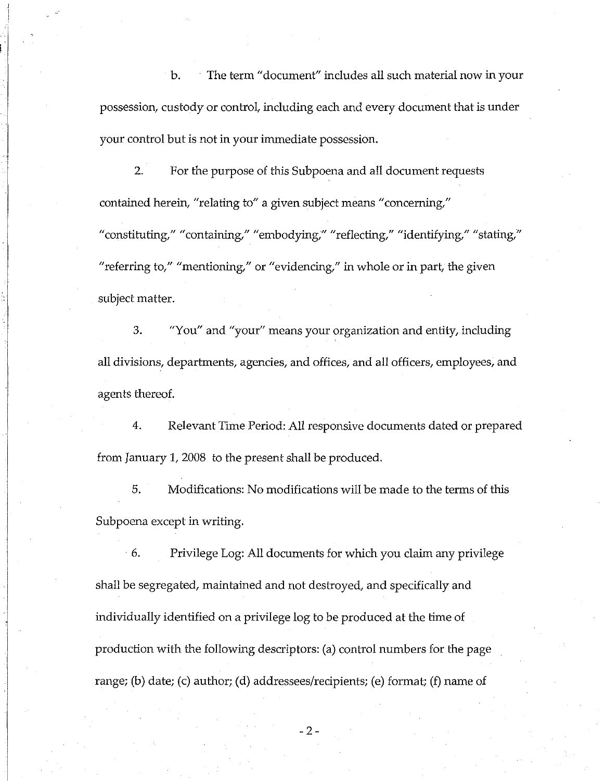b. The term "document" includes all such material now in your possession, custody or control, including each and every document that is under your control but is not in your immediate possession.

2. For the purpose of this Subpoena and all document requests contained herein, "relating to" a given subject means "concerning," "constituting," "containing," "embodying;'' "reflecting," "identifying," "stating," "referring to," "mentioning," or "evidencing," in whole or in part, the given subject matter.

3. "You" and "your" means your organization and entity, including all divisions, departments, agencies, and offices, and all officers, employees, and agents thereof.

4. Relevant Time Period: All responsive documents dated or prepared from January 1, 2008 to the present shall be produced.

5. Modifications: No modifications will be made to the terms of this Subpoena except in writing.

· 6. Privilege Log: All documents for which you claim any privilege shall be segregated, maintained and not destroyed, and specifically and individually identified on a privilege log to be produced at the time of production with the following descriptors: (a) control numbers for the page range; (b) date; (c) author; (d) addressees/recipients; (e) format; (f) name of

-2-